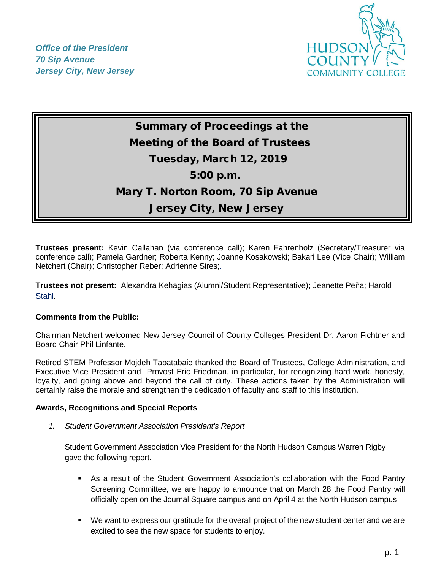*Office of the President 70 Sip Avenue Jersey City, New Jersey*



# Summary of Proceedings at the Meeting of the Board of Trustees Tuesday, March 12, 2019 5:00 p.m. Mary T. Norton Room, 70 Sip Avenue Jersey City, New Jersey

**Trustees present:** Kevin Callahan (via conference call); Karen Fahrenholz (Secretary/Treasurer via conference call); Pamela Gardner; Roberta Kenny; Joanne Kosakowski; Bakari Lee (Vice Chair); William Netchert (Chair); Christopher Reber; Adrienne Sires;.

**Trustees not present:** Alexandra Kehagias (Alumni/Student Representative); Jeanette Peña; Harold Stahl.

# **Comments from the Public:**

Chairman Netchert welcomed New Jersey Council of County Colleges President Dr. Aaron Fichtner and Board Chair Phil Linfante.

Retired STEM Professor Mojdeh Tabatabaie thanked the Board of Trustees, College Administration, and Executive Vice President and Provost Eric Friedman, in particular, for recognizing hard work, honesty, loyalty, and going above and beyond the call of duty. These actions taken by the Administration will certainly raise the morale and strengthen the dedication of faculty and staff to this institution.

## **Awards, Recognitions and Special Reports**

*1. Student Government Association President's Report* 

 Student Government Association Vice President for the North Hudson Campus Warren Rigby gave the following report.

- As a result of the Student Government Association's collaboration with the Food Pantry Screening Committee, we are happy to announce that on March 28 the Food Pantry will officially open on the Journal Square campus and on April 4 at the North Hudson campus
- We want to express our gratitude for the overall project of the new student center and we are excited to see the new space for students to enjoy.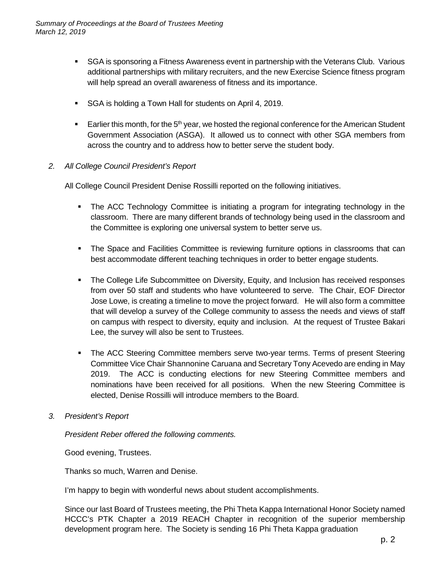- **SGA** is sponsoring a Fitness Awareness event in partnership with the Veterans Club. Various additional partnerships with military recruiters, and the new Exercise Science fitness program will help spread an overall awareness of fitness and its importance.
- SGA is holding a Town Hall for students on April 4, 2019.
- Earlier this month, for the  $5<sup>th</sup>$  year, we hosted the regional conference for the American Student Government Association (ASGA). It allowed us to connect with other SGA members from across the country and to address how to better serve the student body.
- *2. All College Council President's Report*

All College Council President Denise Rossilli reported on the following initiatives.

- The ACC Technology Committee is initiating a program for integrating technology in the classroom. There are many different brands of technology being used in the classroom and the Committee is exploring one universal system to better serve us.
- **The Space and Facilities Committee is reviewing furniture options in classrooms that can** best accommodate different teaching techniques in order to better engage students.
- **The College Life Subcommittee on Diversity, Equity, and Inclusion has received responses** from over 50 staff and students who have volunteered to serve. The Chair, EOF Director Jose Lowe, is creating a timeline to move the project forward. He will also form a committee that will develop a survey of the College community to assess the needs and views of staff on campus with respect to diversity, equity and inclusion. At the request of Trustee Bakari Lee, the survey will also be sent to Trustees.
- The ACC Steering Committee members serve two-year terms. Terms of present Steering Committee Vice Chair Shannonine Caruana and Secretary Tony Acevedo are ending in May 2019. The ACC is conducting elections for new Steering Committee members and nominations have been received for all positions. When the new Steering Committee is elected, Denise Rossilli will introduce members to the Board.
- *3. President's Report*

*President Reber offered the following comments.*

Good evening, Trustees.

Thanks so much, Warren and Denise.

I'm happy to begin with wonderful news about student accomplishments.

Since our last Board of Trustees meeting, the Phi Theta Kappa International Honor Society named HCCC's PTK Chapter a 2019 REACH Chapter in recognition of the superior membership development program here. The Society is sending 16 Phi Theta Kappa graduation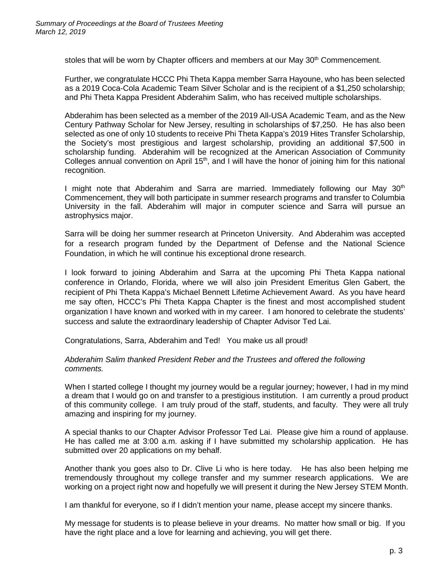stoles that will be worn by Chapter officers and members at our May  $30<sup>th</sup>$  Commencement.

Further, we congratulate HCCC Phi Theta Kappa member Sarra Hayoune, who has been selected as a 2019 Coca-Cola Academic Team Silver Scholar and is the recipient of a \$1,250 scholarship; and Phi Theta Kappa President Abderahim Salim, who has received multiple scholarships.

Abderahim has been selected as a member of the 2019 All-USA Academic Team, and as the New Century Pathway Scholar for New Jersey, resulting in scholarships of \$7,250. He has also been selected as one of only 10 students to receive Phi Theta Kappa's 2019 Hites Transfer Scholarship, the Society's most prestigious and largest scholarship, providing an additional \$7,500 in scholarship funding. Abderahim will be recognized at the American Association of Community Colleges annual convention on April 15<sup>th</sup>, and I will have the honor of joining him for this national recognition.

I might note that Abderahim and Sarra are married. Immediately following our May  $30<sup>th</sup>$ Commencement, they will both participate in summer research programs and transfer to Columbia University in the fall. Abderahim will major in computer science and Sarra will pursue an astrophysics major.

Sarra will be doing her summer research at Princeton University. And Abderahim was accepted for a research program funded by the Department of Defense and the National Science Foundation, in which he will continue his exceptional drone research.

I look forward to joining Abderahim and Sarra at the upcoming Phi Theta Kappa national conference in Orlando, Florida, where we will also join President Emeritus Glen Gabert, the recipient of Phi Theta Kappa's Michael Bennett Lifetime Achievement Award. As you have heard me say often, HCCC's Phi Theta Kappa Chapter is the finest and most accomplished student organization I have known and worked with in my career. I am honored to celebrate the students' success and salute the extraordinary leadership of Chapter Advisor Ted Lai.

Congratulations, Sarra, Abderahim and Ted! You make us all proud!

#### *Abderahim Salim thanked President Reber and the Trustees and offered the following comments.*

When I started college I thought my journey would be a regular journey; however, I had in my mind a dream that I would go on and transfer to a prestigious institution. I am currently a proud product of this community college. I am truly proud of the staff, students, and faculty. They were all truly amazing and inspiring for my journey.

A special thanks to our Chapter Advisor Professor Ted Lai. Please give him a round of applause. He has called me at 3:00 a.m. asking if I have submitted my scholarship application. He has submitted over 20 applications on my behalf.

Another thank you goes also to Dr. Clive Li who is here today. He has also been helping me tremendously throughout my college transfer and my summer research applications. We are working on a project right now and hopefully we will present it during the New Jersey STEM Month.

I am thankful for everyone, so if I didn't mention your name, please accept my sincere thanks.

My message for students is to please believe in your dreams. No matter how small or big. If you have the right place and a love for learning and achieving, you will get there.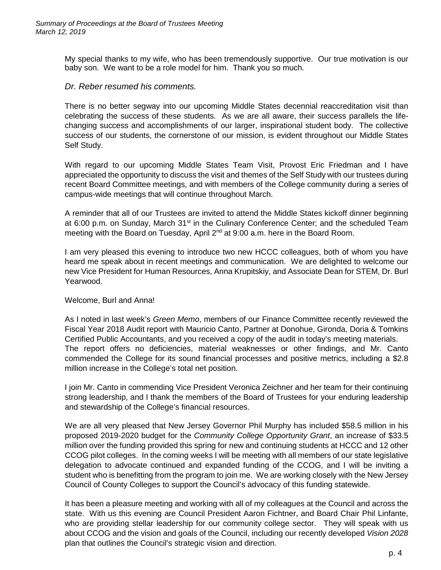My special thanks to my wife, who has been tremendously supportive. Our true motivation is our baby son. We want to be a role model for him. Thank you so much.

## *Dr. Reber resumed his comments.*

There is no better segway into our upcoming Middle States decennial reaccreditation visit than celebrating the success of these students. As we are all aware, their success parallels the lifechanging success and accomplishments of our larger, inspirational student body. The collective success of our students, the cornerstone of our mission, is evident throughout our Middle States Self Study.

With regard to our upcoming Middle States Team Visit, Provost Eric Friedman and I have appreciated the opportunity to discuss the visit and themes of the Self Study with our trustees during recent Board Committee meetings, and with members of the College community during a series of campus-wide meetings that will continue throughout March.

A reminder that all of our Trustees are invited to attend the Middle States kickoff dinner beginning at 6:00 p.m. on Sunday, March  $31<sup>st</sup>$  in the Culinary Conference Center; and the scheduled Team meeting with the Board on Tuesday, April 2<sup>nd</sup> at 9:00 a.m. here in the Board Room.

I am very pleased this evening to introduce two new HCCC colleagues, both of whom you have heard me speak about in recent meetings and communication. We are delighted to welcome our new Vice President for Human Resources, Anna Krupitskiy, and Associate Dean for STEM, Dr. Burl Yearwood.

## Welcome, Burl and Anna!

As I noted in last week's *Green Memo*, members of our Finance Committee recently reviewed the Fiscal Year 2018 Audit report with Mauricio Canto, Partner at Donohue, Gironda, Doria & Tomkins Certified Public Accountants, and you received a copy of the audit in today's meeting materials. The report offers no deficiencies, material weaknesses or other findings, and Mr. Canto commended the College for its sound financial processes and positive metrics, including a \$2.8 million increase in the College's total net position.

I join Mr. Canto in commending Vice President Veronica Zeichner and her team for their continuing strong leadership, and I thank the members of the Board of Trustees for your enduring leadership and stewardship of the College's financial resources.

We are all very pleased that New Jersey Governor Phil Murphy has included \$58.5 million in his proposed 2019-2020 budget for the *Community College Opportunity Grant*, an increase of \$33.5 million over the funding provided this spring for new and continuing students at HCCC and 12 other CCOG pilot colleges. In the coming weeks I will be meeting with all members of our state legislative delegation to advocate continued and expanded funding of the CCOG, and I will be inviting a student who is benefitting from the program to join me. We are working closely with the New Jersey Council of County Colleges to support the Council's advocacy of this funding statewide.

It has been a pleasure meeting and working with all of my colleagues at the Council and across the state. With us this evening are Council President Aaron Fichtner, and Board Chair Phil Linfante, who are providing stellar leadership for our community college sector. They will speak with us about CCOG and the vision and goals of the Council, including our recently developed *Vision 2028* plan that outlines the Council's strategic vision and direction.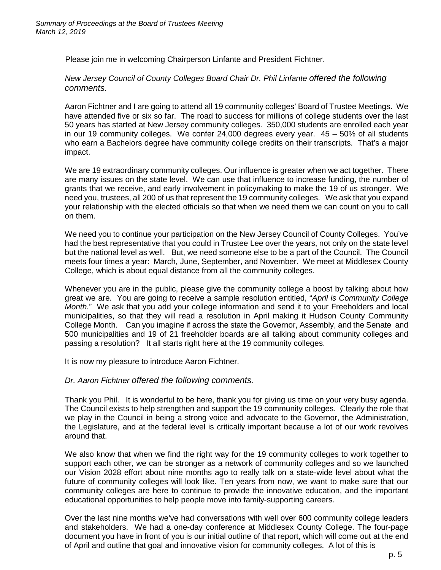Please join me in welcoming Chairperson Linfante and President Fichtner.

*New Jersey Council of County Colleges Board Chair Dr. Phil Linfante offered the following comments.*

Aaron Fichtner and I are going to attend all 19 community colleges' Board of Trustee Meetings. We have attended five or six so far. The road to success for millions of college students over the last 50 years has started at New Jersey community colleges. 350,000 students are enrolled each year in our 19 community colleges. We confer 24,000 degrees every year. 45 – 50% of all students who earn a Bachelors degree have community college credits on their transcripts. That's a major impact.

We are 19 extraordinary community colleges. Our influence is greater when we act together. There are many issues on the state level. We can use that influence to increase funding, the number of grants that we receive, and early involvement in policymaking to make the 19 of us stronger. We need you, trustees, all 200 of us that represent the 19 community colleges. We ask that you expand your relationship with the elected officials so that when we need them we can count on you to call on them.

We need you to continue your participation on the New Jersey Council of County Colleges. You've had the best representative that you could in Trustee Lee over the years, not only on the state level but the national level as well. But, we need someone else to be a part of the Council. The Council meets four times a year: March, June, September, and November. We meet at Middlesex County College, which is about equal distance from all the community colleges.

Whenever you are in the public, please give the community college a boost by talking about how great we are. You are going to receive a sample resolution entitled, "*April is Community College Month.*" We ask that you add your college information and send it to your Freeholders and local municipalities, so that they will read a resolution in April making it Hudson County Community College Month. Can you imagine if across the state the Governor, Assembly, and the Senate and 500 municipalities and 19 of 21 freeholder boards are all talking about community colleges and passing a resolution? It all starts right here at the 19 community colleges.

It is now my pleasure to introduce Aaron Fichtner.

*Dr. Aaron Fichtner offered the following comments.*

Thank you Phil. It is wonderful to be here, thank you for giving us time on your very busy agenda. The Council exists to help strengthen and support the 19 community colleges. Clearly the role that we play in the Council in being a strong voice and advocate to the Governor, the Administration, the Legislature, and at the federal level is critically important because a lot of our work revolves around that.

We also know that when we find the right way for the 19 community colleges to work together to support each other, we can be stronger as a network of community colleges and so we launched our Vision 2028 effort about nine months ago to really talk on a state-wide level about what the future of community colleges will look like. Ten years from now, we want to make sure that our community colleges are here to continue to provide the innovative education, and the important educational opportunities to help people move into family-supporting careers.

Over the last nine months we've had conversations with well over 600 community college leaders and stakeholders. We had a one-day conference at Middlesex County College. The four-page document you have in front of you is our initial outline of that report, which will come out at the end of April and outline that goal and innovative vision for community colleges. A lot of this is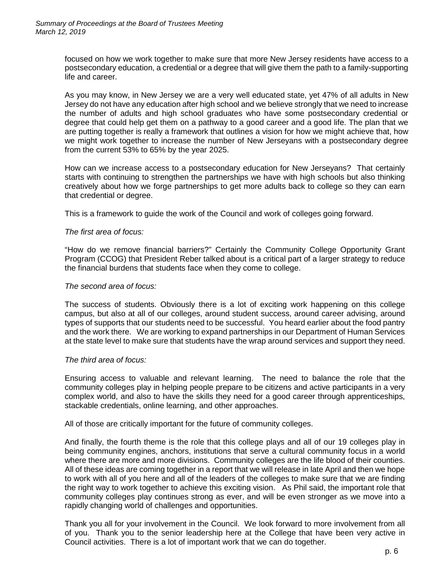focused on how we work together to make sure that more New Jersey residents have access to a postsecondary education, a credential or a degree that will give them the path to a family-supporting life and career.

As you may know, in New Jersey we are a very well educated state, yet 47% of all adults in New Jersey do not have any education after high school and we believe strongly that we need to increase the number of adults and high school graduates who have some postsecondary credential or degree that could help get them on a pathway to a good career and a good life. The plan that we are putting together is really a framework that outlines a vision for how we might achieve that, how we might work together to increase the number of New Jerseyans with a postsecondary degree from the current 53% to 65% by the year 2025.

How can we increase access to a postsecondary education for New Jerseyans? That certainly starts with continuing to strengthen the partnerships we have with high schools but also thinking creatively about how we forge partnerships to get more adults back to college so they can earn that credential or degree.

This is a framework to guide the work of the Council and work of colleges going forward.

#### *The first area of focus:*

"How do we remove financial barriers?" Certainly the Community College Opportunity Grant Program (CCOG) that President Reber talked about is a critical part of a larger strategy to reduce the financial burdens that students face when they come to college.

#### *The second area of focus:*

The success of students. Obviously there is a lot of exciting work happening on this college campus, but also at all of our colleges, around student success, around career advising, around types of supports that our students need to be successful. You heard earlier about the food pantry and the work there. We are working to expand partnerships in our Department of Human Services at the state level to make sure that students have the wrap around services and support they need.

#### *The third area of focus:*

Ensuring access to valuable and relevant learning. The need to balance the role that the community colleges play in helping people prepare to be citizens and active participants in a very complex world, and also to have the skills they need for a good career through apprenticeships, stackable credentials, online learning, and other approaches.

All of those are critically important for the future of community colleges.

And finally, the fourth theme is the role that this college plays and all of our 19 colleges play in being community engines, anchors, institutions that serve a cultural community focus in a world where there are more and more divisions. Community colleges are the life blood of their counties. All of these ideas are coming together in a report that we will release in late April and then we hope to work with all of you here and all of the leaders of the colleges to make sure that we are finding the right way to work together to achieve this exciting vision. As Phil said, the important role that community colleges play continues strong as ever, and will be even stronger as we move into a rapidly changing world of challenges and opportunities.

Thank you all for your involvement in the Council. We look forward to more involvement from all of you. Thank you to the senior leadership here at the College that have been very active in Council activities. There is a lot of important work that we can do together.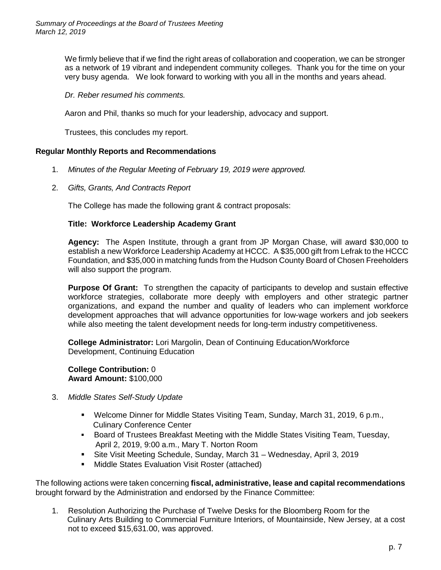We firmly believe that if we find the right areas of collaboration and cooperation, we can be stronger as a network of 19 vibrant and independent community colleges. Thank you for the time on your very busy agenda. We look forward to working with you all in the months and years ahead.

*Dr. Reber resumed his comments.*

Aaron and Phil, thanks so much for your leadership, advocacy and support.

Trustees, this concludes my report.

## **Regular Monthly Reports and Recommendations**

- 1. *Minutes of the Regular Meeting of February 19, 2019 were approved.*
- 2. *Gifts, Grants, And Contracts Report*

The College has made the following grant & contract proposals:

#### **Title: Workforce Leadership Academy Grant**

**Agency:** The Aspen Institute, through a grant from JP Morgan Chase, will award \$30,000 to establish a new Workforce Leadership Academy at HCCC. A \$35,000 gift from Lefrak to the HCCC Foundation, and \$35,000 in matching funds from the Hudson County Board of Chosen Freeholders will also support the program.

**Purpose Of Grant:** To strengthen the capacity of participants to develop and sustain effective workforce strategies, collaborate more deeply with employers and other strategic partner organizations, and expand the number and quality of leaders who can implement workforce development approaches that will advance opportunities for low-wage workers and job seekers while also meeting the talent development needs for long-term industry competitiveness.

**College Administrator:** Lori Margolin, Dean of Continuing Education/Workforce Development, Continuing Education

**College Contribution:** 0 **Award Amount:** \$100,000

- 3. *Middle States Self-Study Update* 
	- Welcome Dinner for Middle States Visiting Team, Sunday, March 31, 2019, 6 p.m., Culinary Conference Center
	- **Board of Trustees Breakfast Meeting with the Middle States Visiting Team, Tuesday,** April 2, 2019, 9:00 a.m., Mary T. Norton Room
	- Site Visit Meeting Schedule, Sunday, March 31 Wednesday, April 3, 2019
	- **Middle States Evaluation Visit Roster (attached)**

The following actions were taken concerning **fiscal, administrative, lease and capital recommendations** brought forward by the Administration and endorsed by the Finance Committee:

1. Resolution Authorizing the Purchase of Twelve Desks for the Bloomberg Room for the Culinary Arts Building to Commercial Furniture Interiors, of Mountainside, New Jersey, at a cost not to exceed \$15,631.00, was approved.